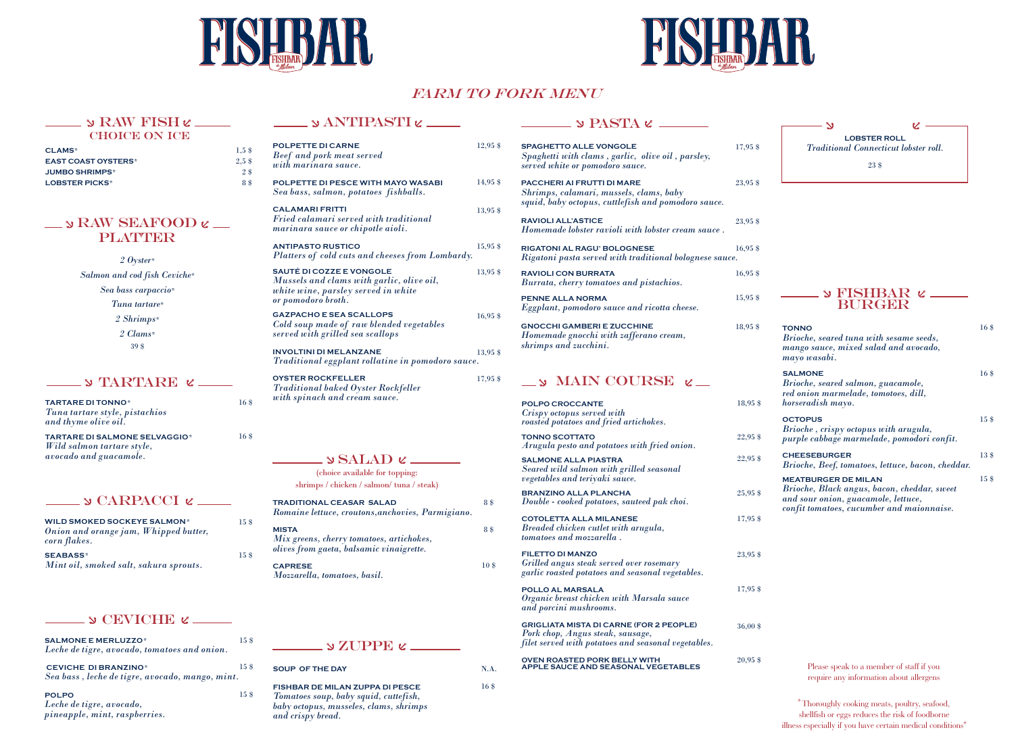



# **FARM TO FORK MENU**

### ANTIPASTI

**SOUP OF THE DAY** **FISHBAR DE MILAN ZUPPA DI PESCE**

*Tomatoes soup, baby squid, cuttefish, baby octopus, musseles, clams, shrimps and crispy bread.*

| <b>TARTARE DI TONNO*</b><br>Tuna tartare style, pistachios<br>and thyme olive oil.           | 16.8  |
|----------------------------------------------------------------------------------------------|-------|
| <b>TARTARE DI SALMONE SELVAGGIO*</b><br>Wild salmon tartare style,<br>avocado and guacamole. | 16 \$ |

#### $\sim$   $\sim$  PASTA  $\epsilon$   $\sim$

SETTA DITA DITE 12

#### $\equiv$   $\sqrt{V_{C} - V_{C} - V_{C}}$

*2 Oyster\* Salmon and cod fish Ceviche\* Sea bass carpaccio\* Tuna tartare\* 2 Shrimps\* 2 Clams\** 39 \$

| <b>POLPETTE DI CARNE</b><br><b>Beef</b> and pork meat served<br>with marinara sauce.                                                      | $12.95$ \$ |
|-------------------------------------------------------------------------------------------------------------------------------------------|------------|
| POLPETTE DI PESCE WITH MAYO WASABI<br>Sea bass, salmon, potatoes fishballs.                                                               | 14,95 \$   |
| <b>CALAMARI FRITTI</b><br>Fried calamari served with traditional<br>marinara sauce or chipotle aioli.                                     | 13,95 \$   |
| <b>ANTIPASTO RUSTICO</b><br>Platters of cold cuts and cheeses from Lombardy.                                                              | 15,95 \$   |
| <b>SAUTÉ DI COZZE E VONGOLE</b><br>Mussels and clams with garlic, olive oil,<br>white wine, parsley served in white<br>or pomodoro broth. | 13.95 \$   |
| <b>GAZPACHO E SEA SCALLOPS</b><br>Cold soup made of raw blended vegetables<br>served with grilled sea scallops                            | $16.95$ \$ |
| <b>INVOLTINI DI MELANZANE</b><br>Traditional eggplant rollatine in pomodoro sauce.                                                        | 13,95 \$   |
| <b>OYSTER ROCKFELLER</b><br><b>Traditional baked Oyster Rockfeller</b><br>with spinach and cream sauce.                                   | 17,95 \$   |

# $\sim$  SALAD  $\ell$  —

| 17,95 \$                                                              |
|-----------------------------------------------------------------------|
| 23,95 \$                                                              |
| 23,95 \$                                                              |
| $16,95$ \$<br>Rigatoni pasta served with traditional bolognese sauce. |
| $16,95$ \$                                                            |
| $15,95$ \$                                                            |
| 18,95 \$                                                              |
|                                                                       |
| 18,95 \$                                                              |
| 22,95 \$                                                              |
| 22,95 \$                                                              |
| 25,95 \$                                                              |
| 17,95 \$                                                              |
| 23,95 \$                                                              |
| 17,95 \$                                                              |
| $36,00$ \$                                                            |
| $20,95$ \$                                                            |
|                                                                       |





# RAW FISH

#### CHOICE ON ICE

Please speak to a member of staff if you require any information about allergens

| <b>WILD SMOKED SOCKEYE SALMON*</b><br>Onion and orange jam, Whipped butter,<br>corn flakes. | 15S |
|---------------------------------------------------------------------------------------------|-----|
| <b>SEABASS*</b><br>Mint oil, smoked salt, sakura sprouts.                                   | 15S |

#### $\sim$  S CEVICHE  $\epsilon$  \_\_\_\_\_

| <b>SALMONE E MERLUZZO*</b><br>Leche de tigre, avocado, tomatoes and onion.     | 15 \$ |
|--------------------------------------------------------------------------------|-------|
| <b>CEVICHE DI BRANZINO*</b><br>Sea bass, leche de tigre, avocado, mango, mint. | 15 \$ |
| <b>POLPO</b><br>Leche de tigre, avocado,<br>pineapple, mint, raspberries.      | 15 \$ |



*confit tomatoes, cucumber and maionnaise.*

N.A.

| CLAMS*                     | 1.5 <sub>s</sub> |  |
|----------------------------|------------------|--|
| <b>EAST COAST OYSTERS*</b> | 2.5 \$           |  |
| <b>JUMBO SHRIMPS*</b>      | $2\sqrt{8}$      |  |
| <b>LOBSTER PICKS*</b>      | 8 \$             |  |

## $\Rightarrow$  RAW SEAFOOD  $\ell$  — PLATTER

(choice available for topping: shrimps / chicken / salmon/ tuna / steak)

| $\mathcal{D}$ FISHBAR $\mathcal{C}$<br><b>BURGER</b>                                                              |                   |
|-------------------------------------------------------------------------------------------------------------------|-------------------|
| <b>TONNO</b><br>Brioche, seared tuna with sesame seeds,<br>mango sauce, mixed salad and avocado,<br>mayo wasabi.  | 16 <sub>3</sub>   |
| <b>SALMONE</b><br>Brioche, seared salmon, guacamole,<br>red onion marmelade, tomotoes, dill,<br>horseradish mayo. | $16\,\mathrm{\$}$ |
| <b>OCTOPUS</b><br>Brioche, crispy octopus with arugula,<br>purple cabbage marmelade, pomodori confit.             | 15\$              |
| <b>CHEESEBURGER</b><br>Brioche, Beef, tomatoes, lettuce, bacon, cheddar.                                          | 13\$              |
| <b>MEATBURGER DE MILAN</b><br>Brioche, Black angus, bacon, cheddar, sweet<br>and sour onion, guacamole, lettuce,  | 15\$              |

16 \$

*\** Thoroughly cooking meats, poultry, seafood, shellfish or eggs reduces the risk of foodborne illness especially if you have certain medical conditions"

#### ZUPPE

**TRADITIONAL CEASAR SALAD**  *Romaine lettuce, croutons,anchovies, Parmigiano.* 8 \$

**MISTA**  *Mix greens, cherry tomatoes, artichokes, olives from gaeta, balsamic vinaigrette.* **CAPRESE** 

*Mozzarella, tomatoes, basil.* 

8 \$

10 \$